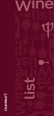

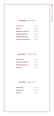## VIN ROUGE - RED WINE

| JOUR & NUIT                 | $50$ TND      |
|-----------------------------|---------------|
| <b>DIDONA</b>               | 55 TND        |
| <b>DOMAINE SHADRAPA</b>     | 55 TND        |
| <b>DOMAINE PHENICIA</b>     | <b>59 TND</b> |
| <b>MAGON SIGNATURE</b>      | 54 TND        |
| <b>D'ISTINTO MAGNIFIQUE</b> | <b>75 TND</b> |

#### VIN BLANC - WHITE WINE

| JOUR & NUIT             | 50 TND |
|-------------------------|--------|
| DOMAINE SHADRAPA        | 45 TND |
| <b>DOMAINE PHENICIA</b> | 40 TND |
| <b>KURUBIS</b>          | 80 TND |

## VIN ROSE - ROSE WINE

| DÉSIR ROSÉ    | 65 TND        |
|---------------|---------------|
| JOUR & NUIT   | <b>50 TND</b> |
| <b>DIDONA</b> | 60 TND        |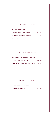# VIN ROUGE - RED WINE

| <b>CHÂTEAU DE GARBES</b>         | <b>90 TND</b>  |
|----------------------------------|----------------|
| <b>CHÂTEAU TOUR SAINT BONNET</b> | <b>160 TND</b> |
| <b>CHÂTEAU MOULIN DES GRAVES</b> | $125$ TND      |
| <b>CHÂTEAU GRAND SOUSSANS</b>    | <b>220 TND</b> |

# VIN BLANC - WHITE WINE

| BOURGOGNE ALIGOTÉ DOMAINE RAPET                     | <b>150 TND</b> |
|-----------------------------------------------------|----------------|
| <b>CHABLIS DOMAINE BESSON</b>                       | <b>185 TND</b> |
| <b>DOMAINE JOSEPH MELLOT LES BREMAILLES</b> 180 TND |                |
| BOURGOGNE CHARDONNAY DOMAINE RAPET                  | <b>185 TND</b> |

## VIN ROSE - ROSE WINE

| LA CUVÉE DES COMMANDEURS  | 165 TND        |
|---------------------------|----------------|
| <b>MINUTY M DE MINUTY</b> | <b>155 TND</b> |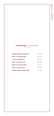# CHAMPAGNES - CHAMPAGNES BTL 75CL

| <b>MUMM CORDON ROUGE BRUT</b>  | 550 TND        |
|--------------------------------|----------------|
| <b>MOËT &amp; CHANDON BRUT</b> | <b>650 TND</b> |
| <b>VEUVE CLIQUOT BRUT</b>      | 680 TND        |
| <b>MOËT &amp; CHANDON ICE</b>  | 680 TND        |
| <b>MOËT &amp; CHANDON ROSÉ</b> | 680 TND        |
| <b>VEUVE CLIQUOT ROSÉ</b>      | <b>710 TND</b> |
| <b>MUMM CORDON ROUGE ROSÉ</b>  | 740 TND        |